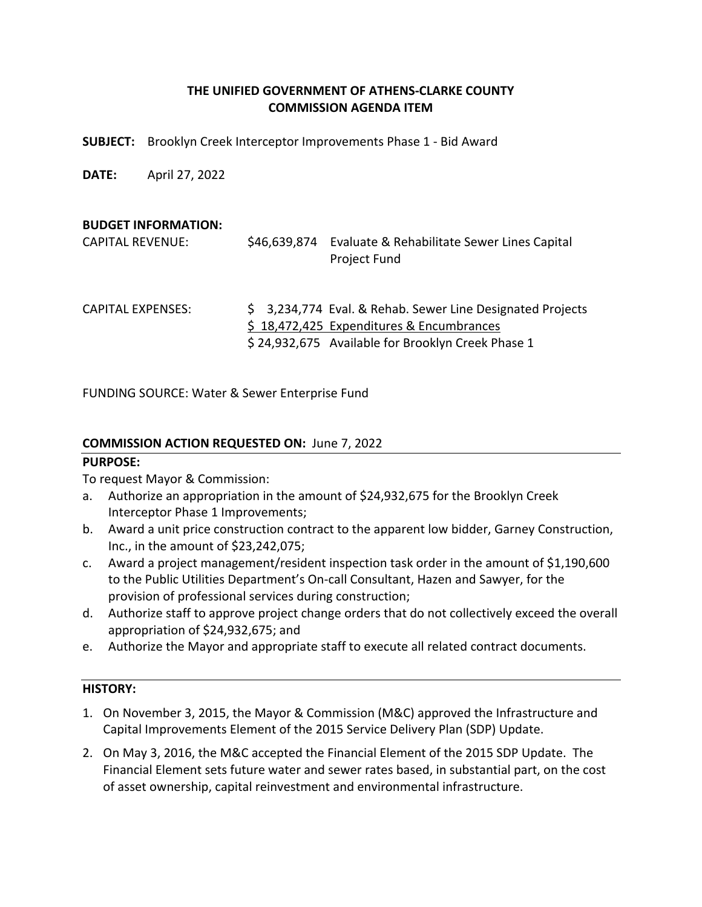# **THE UNIFIED GOVERNMENT OF ATHENS‐CLARKE COUNTY COMMISSION AGENDA ITEM**

**SUBJECT:**  Brooklyn Creek Interceptor Improvements Phase 1 ‐ Bid Award

**DATE:**  April 27, 2022

#### **BUDGET INFORMATION:**

| <b>CAPITAL REVENUE:</b>  | \$46,639,874 | Evaluate & Rehabilitate Sewer Lines Capital<br><b>Project Fund</b>                                                                                         |
|--------------------------|--------------|------------------------------------------------------------------------------------------------------------------------------------------------------------|
| <b>CAPITAL EXPENSES:</b> |              | \$3,234,774 Eval. & Rehab. Sewer Line Designated Projects<br>\$18,472,425 Expenditures & Encumbrances<br>\$24,932,675 Available for Brooklyn Creek Phase 1 |

FUNDING SOURCE: Water & Sewer Enterprise Fund

## **COMMISSION ACTION REQUESTED ON:** June 7, 2022

## **PURPOSE:**

To request Mayor & Commission:

- a. Authorize an appropriation in the amount of \$24,932,675 for the Brooklyn Creek Interceptor Phase 1 Improvements;
- b. Award a unit price construction contract to the apparent low bidder, Garney Construction, Inc., in the amount of \$23,242,075;
- c. Award a project management/resident inspection task order in the amount of \$1,190,600 to the Public Utilities Department's On‐call Consultant, Hazen and Sawyer, for the provision of professional services during construction;
- d. Authorize staff to approve project change orders that do not collectively exceed the overall appropriation of \$24,932,675; and
- e. Authorize the Mayor and appropriate staff to execute all related contract documents.

## **HISTORY:**

- 1. On November 3, 2015, the Mayor & Commission (M&C) approved the Infrastructure and Capital Improvements Element of the 2015 Service Delivery Plan (SDP) Update.
- 2. On May 3, 2016, the M&C accepted the Financial Element of the 2015 SDP Update. The Financial Element sets future water and sewer rates based, in substantial part, on the cost of asset ownership, capital reinvestment and environmental infrastructure.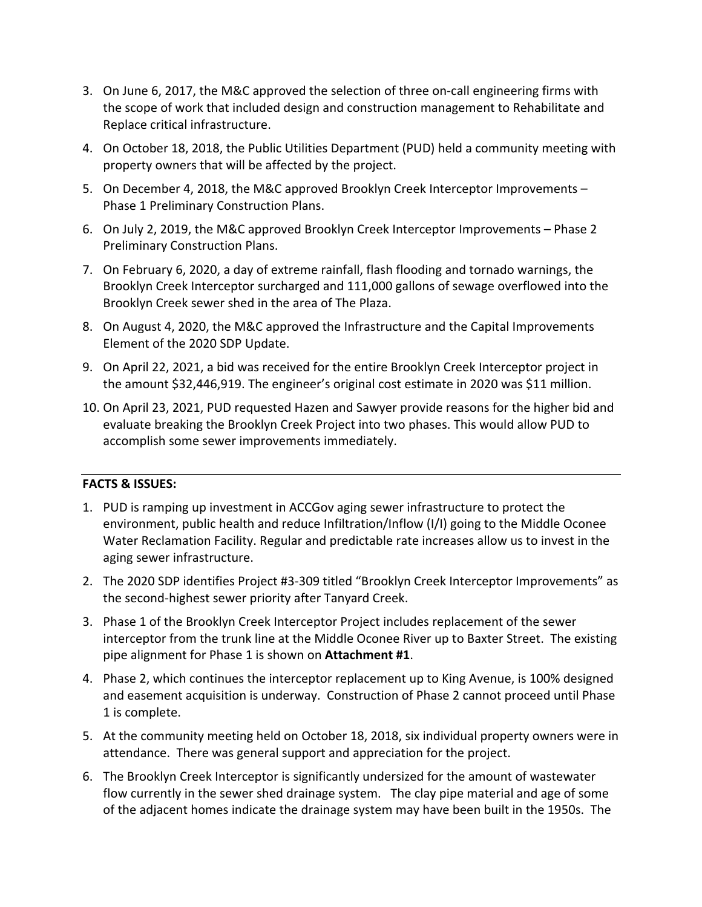- 3. On June 6, 2017, the M&C approved the selection of three on-call engineering firms with the scope of work that included design and construction management to Rehabilitate and Replace critical infrastructure.
- 4. On October 18, 2018, the Public Utilities Department (PUD) held a community meeting with property owners that will be affected by the project.
- 5. On December 4, 2018, the M&C approved Brooklyn Creek Interceptor Improvements Phase 1 Preliminary Construction Plans.
- 6. On July 2, 2019, the M&C approved Brooklyn Creek Interceptor Improvements Phase 2 Preliminary Construction Plans.
- 7. On February 6, 2020, a day of extreme rainfall, flash flooding and tornado warnings, the Brooklyn Creek Interceptor surcharged and 111,000 gallons of sewage overflowed into the Brooklyn Creek sewer shed in the area of The Plaza.
- 8. On August 4, 2020, the M&C approved the Infrastructure and the Capital Improvements Element of the 2020 SDP Update.
- 9. On April 22, 2021, a bid was received for the entire Brooklyn Creek Interceptor project in the amount \$32,446,919. The engineer's original cost estimate in 2020 was \$11 million.
- 10. On April 23, 2021, PUD requested Hazen and Sawyer provide reasons for the higher bid and evaluate breaking the Brooklyn Creek Project into two phases. This would allow PUD to accomplish some sewer improvements immediately.

## **FACTS & ISSUES:**

- 1. PUD is ramping up investment in ACCGov aging sewer infrastructure to protect the environment, public health and reduce Infiltration/Inflow (I/I) going to the Middle Oconee Water Reclamation Facility. Regular and predictable rate increases allow us to invest in the aging sewer infrastructure.
- 2. The 2020 SDP identifies Project #3-309 titled "Brooklyn Creek Interceptor Improvements" as the second‐highest sewer priority after Tanyard Creek.
- 3. Phase 1 of the Brooklyn Creek Interceptor Project includes replacement of the sewer interceptor from the trunk line at the Middle Oconee River up to Baxter Street. The existing pipe alignment for Phase 1 is shown on **Attachment #1**.
- 4. Phase 2, which continues the interceptor replacement up to King Avenue, is 100% designed and easement acquisition is underway. Construction of Phase 2 cannot proceed until Phase 1 is complete.
- 5. At the community meeting held on October 18, 2018, six individual property owners were in attendance. There was general support and appreciation for the project.
- 6. The Brooklyn Creek Interceptor is significantly undersized for the amount of wastewater flow currently in the sewer shed drainage system. The clay pipe material and age of some of the adjacent homes indicate the drainage system may have been built in the 1950s. The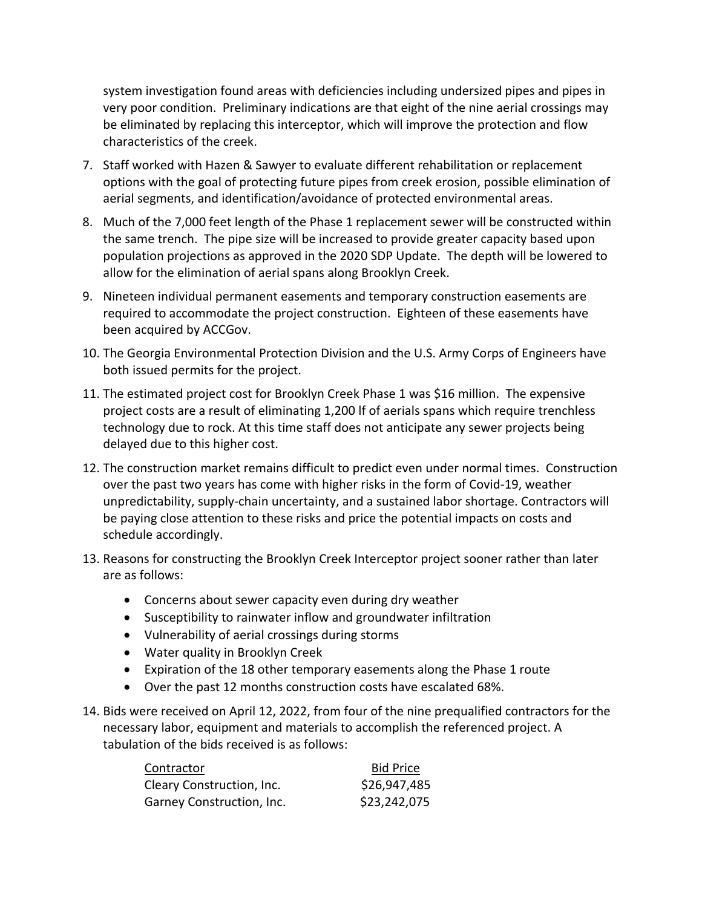system investigation found areas with deficiencies including undersized pipes and pipes in very poor condition. Preliminary indications are that eight of the nine aerial crossings may be eliminated by replacing this interceptor, which will improve the protection and flow characteristics of the creek.

- 7. Staff worked with Hazen & Sawyer to evaluate different rehabilitation or replacement options with the goal of protecting future pipes from creek erosion, possible elimination of aerial segments, and identification/avoidance of protected environmental areas.
- 8. Much of the 7,000 feet length of the Phase 1 replacement sewer will be constructed within the same trench. The pipe size will be increased to provide greater capacity based upon population projections as approved in the 2020 SDP Update. The depth will be lowered to allow for the elimination of aerial spans along Brooklyn Creek.
- 9. Nineteen individual permanent easements and temporary construction easements are required to accommodate the project construction. Eighteen of these easements have been acquired by ACCGov.
- 10. The Georgia Environmental Protection Division and the U.S. Army Corps of Engineers have both issued permits for the project.
- 11. The estimated project cost for Brooklyn Creek Phase 1 was \$16 million. The expensive project costs are a result of eliminating 1,200 lf of aerials spans which require trenchless technology due to rock. At this time staff does not anticipate any sewer projects being delayed due to this higher cost.
- 12. The construction market remains difficult to predict even under normal times. Construction over the past two years has come with higher risks in the form of Covid‐19, weather unpredictability, supply‐chain uncertainty, and a sustained labor shortage. Contractors will be paying close attention to these risks and price the potential impacts on costs and schedule accordingly.
- 13. Reasons for constructing the Brooklyn Creek Interceptor project sooner rather than later are as follows:
	- Concerns about sewer capacity even during dry weather
	- Susceptibility to rainwater inflow and groundwater infiltration
	- Vulnerability of aerial crossings during storms
	- Water quality in Brooklyn Creek
	- Expiration of the 18 other temporary easements along the Phase 1 route
	- Over the past 12 months construction costs have escalated 68%.
- 14. Bids were received on April 12, 2022, from four of the nine prequalified contractors for the necessary labor, equipment and materials to accomplish the referenced project. A tabulation of the bids received is as follows:

| Contractor                | <b>Bid Price</b> |
|---------------------------|------------------|
| Cleary Construction, Inc. | \$26,947,485     |
| Garney Construction, Inc. | \$23,242,075     |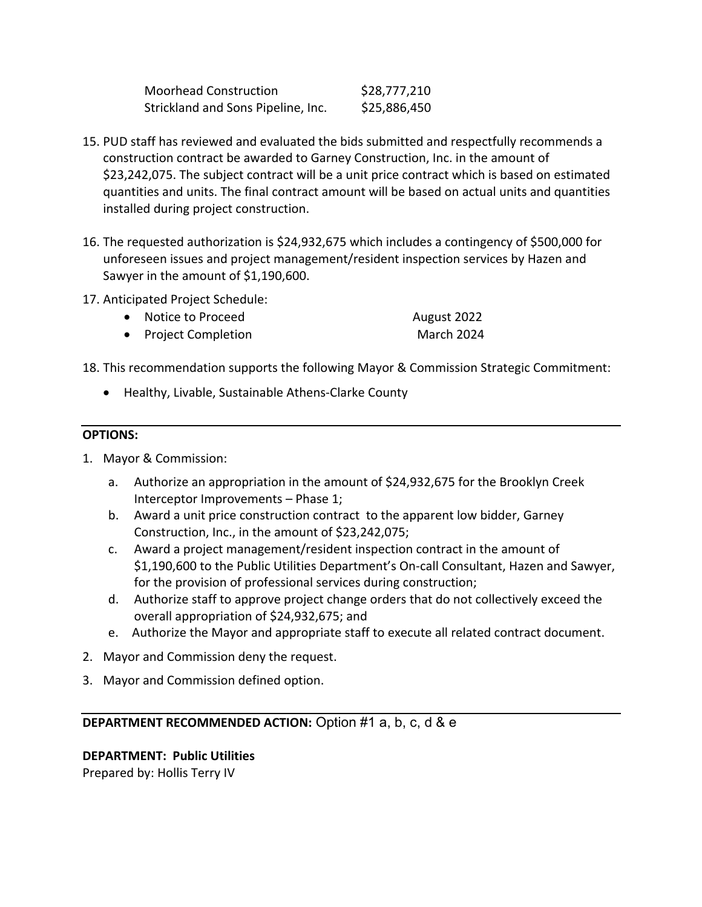| <b>Moorhead Construction</b>       | \$28,777,210 |
|------------------------------------|--------------|
| Strickland and Sons Pipeline, Inc. | \$25,886,450 |

- 15. PUD staff has reviewed and evaluated the bids submitted and respectfully recommends a construction contract be awarded to Garney Construction, Inc. in the amount of \$23,242,075. The subject contract will be a unit price contract which is based on estimated quantities and units. The final contract amount will be based on actual units and quantities installed during project construction.
- 16. The requested authorization is \$24,932,675 which includes a contingency of \$500,000 for unforeseen issues and project management/resident inspection services by Hazen and Sawyer in the amount of \$1,190,600.
- 17. Anticipated Project Schedule:
	- Notice to Proceed August 2022
	- Project Completion March 2024
- 18. This recommendation supports the following Mayor & Commission Strategic Commitment:
	- Healthy, Livable, Sustainable Athens-Clarke County

## **OPTIONS:**

- 1. Mayor & Commission:
	- a. Authorize an appropriation in the amount of \$24,932,675 for the Brooklyn Creek Interceptor Improvements – Phase 1;
	- b. Award a unit price construction contract to the apparent low bidder, Garney Construction, Inc., in the amount of \$23,242,075;
	- c. Award a project management/resident inspection contract in the amount of \$1,190,600 to the Public Utilities Department's On‐call Consultant, Hazen and Sawyer, for the provision of professional services during construction;
	- d. Authorize staff to approve project change orders that do not collectively exceed the overall appropriation of \$24,932,675; and
	- e. Authorize the Mayor and appropriate staff to execute all related contract document.
- 2. Mayor and Commission deny the request.
- 3. Mayor and Commission defined option.

# **DEPARTMENT RECOMMENDED ACTION:** Option #1 a, b, c, d & e

## **DEPARTMENT: Public Utilities**  Prepared by: Hollis Terry IV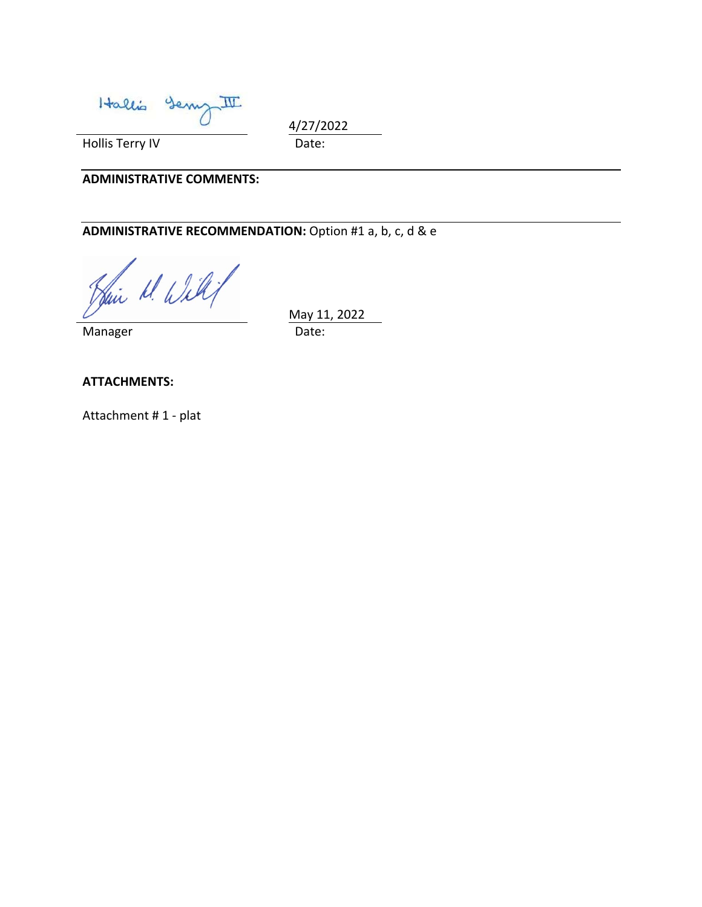Hallis Serry II

4/27/2022

Hollis Terry IV **Date:** 

#### **ADMINISTRATIVE COMMENTS:**

# **ADMINISTRATIVE RECOMMENDATION:** Option #1 a, b, c, d & e

Sain M. Will

 May 11, 2022 Manager **Date:** 

**ATTACHMENTS:** 

Attachment # 1 ‐ plat